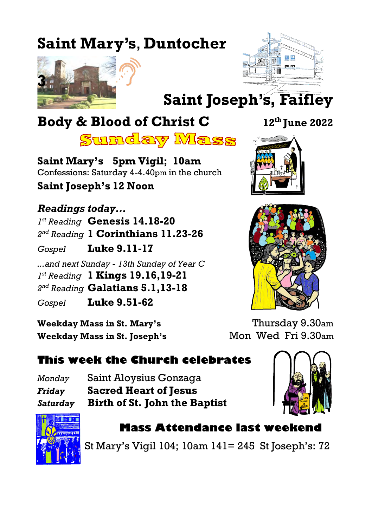# **Saint Mary's**, **Duntocher**





# **Saint Joseph's, Faifley**

# **Body & Blood of Christ C 12th June 2022**

<u>Sunday Mass</u>

**Saint Mary's 5pm Vigil; 10am** Confessions: Saturday 4-4.40pm in the church **Saint Joseph's 12 Noon**

*Readings today... 1 st Reading* **Genesis 14.18-20** *2 nd Reading* **1 Corinthians 11.23-26** *Gospel* **Luke 9.11-17** *...and next Sunday - 13th Sunday of Year C 1 st Reading* **1 Kings 19.16,19-21** *2 nd Reading* **Galatians 5.1,13-18** *Gospel* **Luke 9.51-62**

**Weekday Mass in St. Mary's** Thursday 9.30am **Weekday Mass in St. Joseph's Mon Wed Fri 9.30am** 

## **This week the Church celebrates**

*Monday* Saint Aloysius Gonzaga *Friday* **Sacred Heart of Jesus** *Saturday* **Birth of St. John the Baptist**





## **Mass Attendance last weekend**

St Mary's Vigil 104; 10am 141= 245 St Joseph's: 72



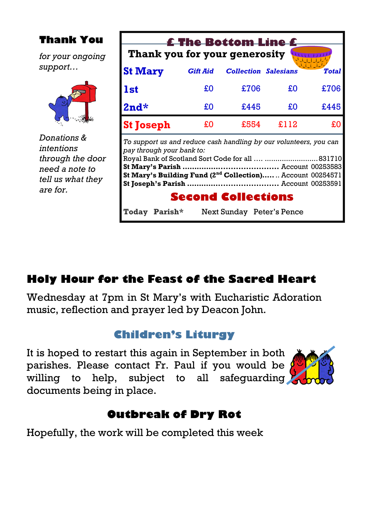### **Thank you for your generosity** *To support us and reduce cash handling by our volunteers, you can pay through your bank to:* Royal Bank of Scotland Sort Code for all …. .........................831710 **St Mary's Parish ……………........................** Account 00253583 **St Mary's Building Fund (2nd Collection)…..**.. Account 00254571 **St Joseph's Parish ………….........................** Account 00253591 **Second Collections Today Parish\*** Next Sunday Peter's Pence **St Mary** *Gift Aid Collection Salesians Total* **1st**  $\text{\textsterling}0 \text{ \textsterling}706 \text{ \textsterling}0 \text{ \textsterling}706$ **2nd\*** £0 £445 £0 £445 **St Joseph**  $\text{\textsterling}0$   $\text{\textsterling}554$   $\text{\textsterling}112$   $\text{\textsterling}0$ **Thank You £ The Bottom Line £** *for your ongoing support… Donations & intentions through the door need a note to tell us what they are for.*

## **Holy Hour for the Feast of the Sacred Heart**

Wednesday at 7pm in St Mary's with Eucharistic Adoration music, reflection and prayer led by Deacon John.

## **Children's Liturgy**

It is hoped to restart this again in September in both parishes. Please contact Fr. Paul if you would be willing to help, subject to all safeguarding documents being in place.



## **Outbreak of Dry Rot**

Hopefully, the work will be completed this week